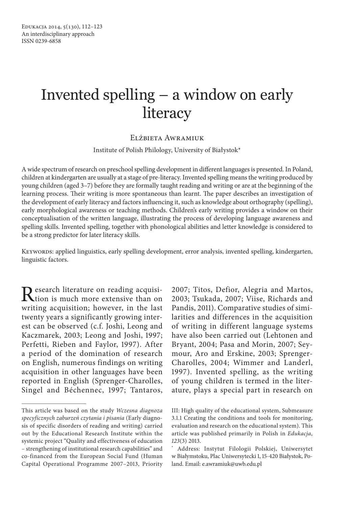# Invented spelling – a window on early **literacy**

## Elżbieta Awramiuk

Institute of Polish Philology, University of Białystok\*

A wide spectrum of research on preschool spelling development in different languages is presented. In Poland, children at kindergarten are usually at a stage of pre-literacy. Invented spelling means the writing produced by young children (aged 3–7) before they are formally taught reading and writing or are at the beginning of the learning process. Their writing is more spontaneous than learnt. The paper describes an investigation of the development of early literacy and factors influencing it, such as knowledge about orthography (spelling), early morphological awareness or teaching methods. Children's early writing provides a window on their conceptualisation of the written language, illustrating the process of developing language awareness and spelling skills. Invented spelling, together with phonological abilities and letter knowledge is considered to be a strong predictor for later literacy skills.

KEYWORDS: applied linguistics, early spelling development, error analysis, invented spelling, kindergarten, linguistic factors.

Research literature on reading acquisi-<br>tion is much more extensive than on writing acquisition; however, in the last twenty years a significantly growing interest can be observed (c.f. Joshi, Leong and Kaczmarek, 2003; Leong and Joshi, 1997; Perfetti, Rieben and Faylor, 1997). After a period of the domination of research on English, numerous findings on writing acquisition in other languages have been reported in English (Sprenger-Charolles, Singel and Béchennec, 1997; Tantaros,

2007; Titos, Defior, Alegria and Martos, 2003; Tsukada, 2007; Viise, Richards and Pandis, 2011). Comparative studies of similarities and differences in the acquisition of writing in different language systems have also been carried out (Lehtonen and Bryant, 2004; Pasa and Morin, 2007; Seymour, Aro and Erskine, 2003; Sprenger-Charolles, 2004; Wimmer and Landerl, 1997). Invented spelling, as the writing of young children is termed in the literature, plays a special part in research on

This article was based on the study *Wczesna diagnoza specyficznych zaburzeń czytania i pisania* (Early diagnosis of specific disorders of reading and writing) carried out by the Educational Research Institute within the systemic project "Quality and effectiveness of education – strengthening of institutional research capabilities" and co-financed from the European Social Fund (Human Capital Operational Programme 2007–2013, Priority

III: High quality of the educational system, Submeasure 3.1.1 Creating the conditions and tools for monitoring, evaluation and research on the educational system). This article was published primarily in Polish in *Edukacja*, *123*(3) 2013.

<sup>\*</sup> Address: Instytut Filologii Polskiej, Uniwersytet w Białymstoku, Plac Uniwersytecki 1, 15-420 Białystok, Poland. Email: e.awramiuk@uwb.edu.pl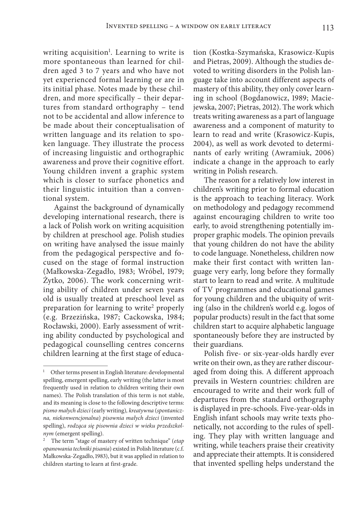writing acquisition<sup>1</sup>. Learning to write is more spontaneous than learned for children aged 3 to 7 years and who have not yet experienced formal learning or are in its initial phase. Notes made by these children, and more specifically – their departures from standard orthography – tend not to be accidental and allow inference to be made about their conceptualisation of written language and its relation to spoken language. They illustrate the process of increasing linguistic and orthographic awareness and prove their cognitive effort. Young children invent a graphic system which is closer to surface phonetics and their linguistic intuition than a conventional system.

Against the background of dynamically developing international research, there is a lack of Polish work on writing acquisition by children at preschool age. Polish studies on writing have analysed the issue mainly from the pedagogical perspective and focused on the stage of formal instruction (Małkowska-Zegadło, 1983; Wróbel, 1979; Żytko, 2006). The work concerning writing ability of children under seven years old is usually treated at preschool level as preparation for learning to write<sup>2</sup> properly (e.g. Brzezińska, 1987; Cackowska, 1984; Rocławski, 2000). Early assessment of writing ability conducted by psychological and pedagogical counselling centres concerns children learning at the first stage of education (Kostka-Szymańska, Krasowicz-Kupis and Pietras, 2009). Although the studies devoted to writing disorders in the Polish language take into account different aspects of mastery of this ability, they only cover learning in school (Bogdanowicz, 1989; Maciejewska, 2007; Pietras, 2012). The work which treats writing awareness as a part of language awareness and a component of maturity to learn to read and write (Krasowicz-Kupis, 2004), as well as work devoted to determinants of early writing (Awramiuk, 2006) indicate a change in the approach to early writing in Polish research.

The reason for a relatively low interest in children's writing prior to formal education is the approach to teaching literacy. Work on methodology and pedagogy recommend against encouraging children to write too early, to avoid strengthening potentially improper graphic models. The opinion prevails that young children do not have the ability to code language. Nonetheless, children now make their first contact with written language very early, long before they formally start to learn to read and write. A multitude of TV programmes and educational games for young children and the ubiquity of writing (also in the children's world e.g. logos of popular products) result in the fact that some children start to acquire alphabetic language spontaneously before they are instructed by their guardians.

Polish five- or six-year-olds hardly ever write on their own, as they are rather discouraged from doing this. A different approach prevails in Western countries: children are encouraged to write and their work full of departures from the standard orthography is displayed in pre-schools. Five-year-olds in English infant schools may write texts phonetically, not according to the rules of spelling. They play with written language and writing, while teachers praise their creativity and appreciate their attempts. It is considered that invented spelling helps understand the

<sup>&</sup>lt;sup>1</sup> Other terms present in English literature: developmental spelling, emergent spelling, early writing (the latter is most frequently used in relation to children writing their own names). The Polish translation of this term is not stable, and its meaning is close to the following descriptive terms: *pismo małych dzieci* (early writing)*, kreatywna* (*spontaniczna, niekonwencjonalna*) *pisownia małych dzieci* (invented spelling), *rodząca się pisownia dzieci w wieku przedszkolnym* (emergent spelling).

<sup>2</sup> The term "stage of mastery of written technique" (*etap opanowania techniki pisania*) existed in Polish literature (c.f. Małkowska-Zegadło, 1983), but it was applied in relation to children starting to learn at first-grade.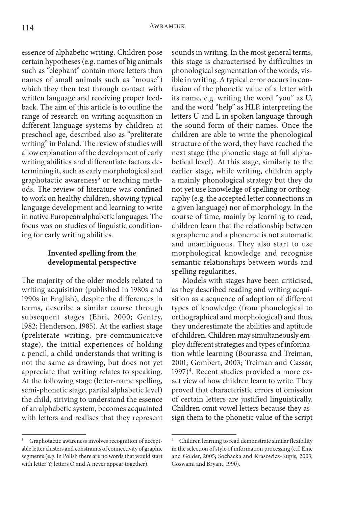essence of alphabetic writing. Children pose certain hypotheses (e.g. names of big animals such as "elephant" contain more letters than names of small animals such as "mouse") which they then test through contact with written language and receiving proper feedback. The aim of this article is to outline the range of research on writing acquisition in different language systems by children at preschool age, described also as "preliterate writing" in Poland. The review of studies will allow explanation of the development of early writing abilities and differentiate factors determining it, such as early morphological and graphotactic awareness<sup>3</sup> or teaching methods. The review of literature was confined to work on healthy children, showing typical language development and learning to write in native European alphabetic languages. The focus was on studies of linguistic conditioning for early writing abilities.

# **Invented spelling from the developmental perspective**

The majority of the older models related to writing acquisition (published in 1980s and 1990s in English), despite the differences in terms, describe a similar course through subsequent stages (Ehri, 2000; Gentry, 1982; Henderson, 1985). At the earliest stage (preliterate writing, pre-communicative stage), the initial experiences of holding a pencil, a child understands that writing is not the same as drawing, but does not yet appreciate that writing relates to speaking. At the following stage (letter-name spelling, semi-phonetic stage, partial alphabetic level) the child, striving to understand the essence of an alphabetic system, becomes acquainted with letters and realises that they represent

<sup>3</sup> Graphotactic awareness involves recognition of acceptable letter clusters and constraints of connectivity of graphic segments (e.g. in Polish there are no words that would start with letter Y; letters Ó and A never appear together).

sounds in writing. In the most general terms, this stage is characterised by difficulties in phonological segmentation of the words, visible in writing. A typical error occurs in confusion of the phonetic value of a letter with its name, e.g. writing the word "you" as U, and the word "help" as HLP, interpreting the letters U and L in spoken language through the sound form of their names. Once the children are able to write the phonological structure of the word, they have reached the next stage (the phonetic stage at full alphabetical level). At this stage, similarly to the earlier stage, while writing, children apply a mainly phonological strategy but they do not yet use knowledge of spelling or orthography (e.g. the accepted letter connections in a given language) nor of morphology. In the course of time, mainly by learning to read, children learn that the relationship between a grapheme and a phoneme is not automatic and unambiguous. They also start to use morphological knowledge and recognise semantic relationships between words and spelling regularities.

Models with stages have been criticised, as they described reading and writing acquisition as a sequence of adoption of different types of knowledge (from phonological to orthographical and morphological) and thus, they underestimate the abilities and aptitude of children. Children may simultaneously employ different strategies and types of information while learning (Bourassa and Treiman, 2001; Gombert, 2003; Treiman and Cassar, 1997)<sup>4</sup>. Recent studies provided a more exact view of how children learn to write. They proved that characteristic errors of omission of certain letters are justified linguistically. Children omit vowel letters because they assign them to the phonetic value of the script

<sup>4</sup> Children learning to read demonstrate similar flexibility in the selection of style of information processing (c.f. Eme and Golder, 2005; Sochacka and Krasowicz-Kupis, 2003; Goswami and Bryant, 1990).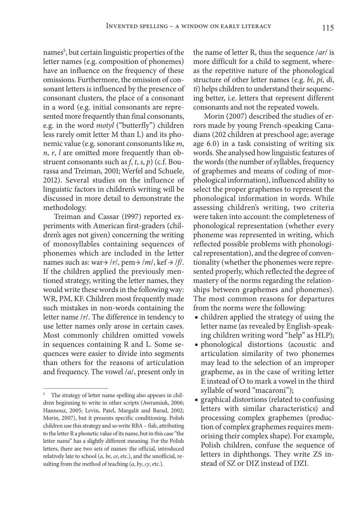names5 , but certain linguistic properties of the letter names (e.g. composition of phonemes) have an influence on the frequency of these omissions. Furthermore, the omission of consonant letters is influenced by the presence of consonant clusters, the place of a consonant in a word (e.g. initial consonants are represented more frequently than final consonants, e.g. in the word *motyl* ("butterfly") children less rarely omit letter M than L) and its phonemic value (e.g. sonorant consonants like *m*, *n*, *r*, *l* are omitted more frequently than obstruent consonants such as *f*, *t*, *s*, *p*) (c.f. Bourassa and Treiman, 2001; Werfel and Schuele, 2012). Several studies on the influence of linguistic factors in children's writing will be discussed in more detail to demonstrate the methodology.

Treiman and Cassar (1997) reported experiments with American first-graders (children's ages not given) concerning the writing of monosyllables containing sequences of phonemes which are included in the letter names such as: war $\rightarrow$  /*r*/, pem $\rightarrow$  /*m*/, kef  $\rightarrow$  /*f*/. If the children applied the previously mentioned strategy, writing the letter names, they would write these words in the following way: WR, PM, KF. Children most frequently made such mistakes in non-words containing the letter name /*r*/. The difference in tendency to use letter names only arose in certain cases. Most commonly children omitted vowels in sequences containing R and L. Some sequences were easier to divide into segments than others for the reasons of articulation and frequency. The vowel /*a*/, present only in

the name of letter R, thus the sequence /*ar*/ is more difficult for a child to segment, whereas the repetitive nature of the phonological structure of other letter names (e.g. *bi*, *pi*, *di*, *ti*) helps children to understand their sequencing better, i.e. letters that represent different consonants and not the repeated vowels.

Morin (2007) described the studies of errors made by young French-speaking Canadians (202 children at preschool age; average age 6.0) in a task consisting of writing six words. She analysed how linguistic features of the words (the number of syllables, frequency of graphemes and means of coding of morphological information), influenced ability to select the proper graphemes to represent the phonological information in words. While assessing children's writing, two criteria were taken into account: the completeness of phonological representation (whether every phoneme was represented in writing, which reflected possible problems with phonological representation), and the degree of conventionality (whether the phonemes were represented properly, which reflected the degree of mastery of the norms regarding the relationships between graphemes and phonemes). The most common reasons for departures from the norms were the following:

- children applied the strategy of using the letter name (as revealed by English-speaking children writing word "help" as HLP);
- phonological distortions (acoustic and articulation similarity of two phonemes may lead to the selection of an improper grapheme, as in the case of writing letter E instead of O to mark a vowel in the third syllable of word "macaroni");
- graphical distortions (related to confusing letters with similar characteristics) and processing complex graphemes (production of complex graphemes requires memorising their complex shape). For example, Polish children, confuse the sequence of letters in diphthongs. They write ZS instead of SZ or DIZ instead of DZI.

The strategy of letter name spelling also appears in children beginning to write in other scripts (Awramiuk, 2006; Hannouz, 2005; Levin, Patel, Margalit and Barad, 2002; Morin, 2007), but it presents specific conditioning. Polish children use this strategy and so write RBA – fish, attributing to the letter R a phonetic value of its name, but in this case "the letter name" has a slightly different meaning. For the Polish letters, there are two sets of names: the official, introduced relatively late to school (*a*, *be*, *ce*, etc.), and the unofficial, resulting from the method of teaching (*a*, *by*, *cy*, etc.).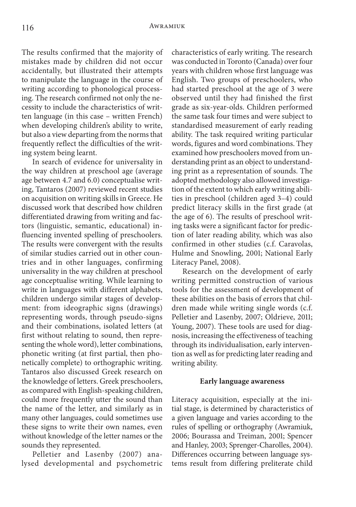The results confirmed that the majority of mistakes made by children did not occur accidentally, but illustrated their attempts to manipulate the language in the course of writing according to phonological processing. The research confirmed not only the necessity to include the characteristics of written language (in this case – written French) when developing children's ability to write, but also a view departing from the norms that frequently reflect the difficulties of the writing system being learnt.

In search of evidence for universality in the way children at preschool age (average age between 4.7 and 6.0) conceptualise writing, Tantaros (2007) reviewed recent studies on acquisition on writing skills in Greece. He discussed work that described how children differentiated drawing from writing and factors (linguistic, semantic, educational) influencing invented spelling of preschoolers. The results were convergent with the results of similar studies carried out in other countries and in other languages, confirming universality in the way children at preschool age conceptualise writing. While learning to write in languages with different alphabets, children undergo similar stages of development: from ideographic signs (drawings) representing words, through pseudo-signs and their combinations, isolated letters (at first without relating to sound, then representing the whole word), letter combinations, phonetic writing (at first partial, then phonetically complete) to orthographic writing. Tantaros also discussed Greek research on the knowledge of letters. Greek preschoolers, as compared with English-speaking children, could more frequently utter the sound than the name of the letter, and similarly as in many other languages, could sometimes use these signs to write their own names, even without knowledge of the letter names or the sounds they represented.

Pelletier and Lasenby (2007) analysed developmental and psychometric characteristics of early writing. The research was conducted in Toronto (Canada) over four years with children whose first language was English. Two groups of preschoolers, who had started preschool at the age of 3 were observed until they had finished the first grade as six-year-olds. Children performed the same task four times and were subject to standardised measurement of early reading ability. The task required writing particular words, figures and word combinations. They examined how preschoolers moved from understanding print as an object to understanding print as a representation of sounds. The adopted methodology also allowed investigation of the extent to which early writing abilities in preschool (children aged 3–4) could predict literacy skills in the first grade (at the age of 6). The results of preschool writing tasks were a significant factor for prediction of later reading ability, which was also confirmed in other studies (c.f. Caravolas, Hulme and Snowling, 2001; National Early Literacy Panel, 2008).

Research on the development of early writing permitted construction of various tools for the assessment of development of these abilities on the basis of errors that children made while writing single words (c.f. Pelletier and Lasenby, 2007; Oldrieve, 2011; Young, 2007). These tools are used for diagnosis, increasing the effectiveness of teaching through its individualisation, early intervention as well as for predicting later reading and writing ability.

#### **Early language awareness**

Literacy acquisition, especially at the initial stage, is determined by characteristics of a given language and varies according to the rules of spelling or orthography (Awramiuk, 2006; Bourassa and Treiman, 2001; Spencer and Hanley, 2003; Sprenger-Charolles, 2004). Differences occurring between language systems result from differing preliterate child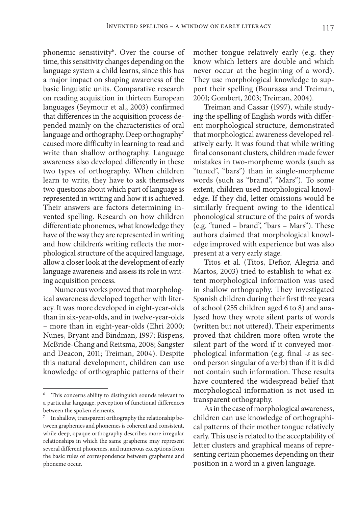phonemic sensitivity<sup>6</sup>. Over the course of time, this sensitivity changes depending on the language system a child learns, since this has a major impact on shaping awareness of the basic linguistic units. Comparative research on reading acquisition in thirteen European languages (Seymour et al., 2003) confirmed that differences in the acquisition process depended mainly on the characteristics of oral language and orthography. Deep orthography<sup>7</sup> caused more difficulty in learning to read and write than shallow orthography. Language awareness also developed differently in these two types of orthography. When children learn to write, they have to ask themselves two questions about which part of language is represented in writing and how it is achieved. Their answers are factors determining invented spelling. Research on how children differentiate phonemes, what knowledge they have of the way they are represented in writing and how children's writing reflects the morphological structure of the acquired language, allow a closer look at the development of early language awareness and assess its role in writing acquisition process.

Numerous works proved that morphological awareness developed together with literacy. It was more developed in eight-year-olds than in six-year-olds, and in twelve-year-olds – more than in eight-year-olds (Ehri 2000; Nunes, Bryant and Bindman, 1997; Rispens, McBride-Chang and Reitsma, 2008; Sangster and Deacon, 2011; Treiman, 2004). Despite this natural development, children can use knowledge of orthographic patterns of their mother tongue relatively early (e.g. they know which letters are double and which never occur at the beginning of a word). They use morphological knowledge to support their spelling (Bourassa and Treiman, 2001; Gombert, 2003; Treiman, 2004).

Treiman and Cassar (1997), while studying the spelling of English words with different morphological structure, demonstrated that morphological awareness developed relatively early. It was found that while writing final consonant clusters, children made fewer mistakes in two-morpheme words (such as "tuned", "bars") than in single-morpheme words (such as "brand", "Mars"). To some extent, children used morphological knowledge. If they did, letter omissions would be similarly frequent owing to the identical phonological structure of the pairs of words (e.g. "tuned – brand", "bars – Mars"). These authors claimed that morphological knowledge improved with experience but was also present at a very early stage.

Titos et al. (Titos, Defior, Alegria and Martos, 2003) tried to establish to what extent morphological information was used in shallow orthography. They investigated Spanish children during their first three years of school (255 children aged 6 to 8) and analysed how they wrote silent parts of words (written but not uttered). Their experiments proved that children more often wrote the silent part of the word if it conveyed morphological information (e.g. final -*s* as second person singular of a verb) than if it is did not contain such information. These results have countered the widespread belief that morphological information is not used in transparent orthography.

As in the case of morphological awareness, children can use knowledge of orthographical patterns of their mother tongue relatively early. This use is related to the acceptability of letter clusters and graphical means of representing certain phonemes depending on their position in a word in a given language.

This concerns ability to distinguish sounds relevant to a particular language, perception of functional differences between the spoken elements.

In shallow, transparent orthography the relationship between graphemes and phonemes is coherent and consistent, while deep, opaque orthography describes more irregular relationships in which the same grapheme may represent several different phonemes, and numerous exceptions from the basic rules of correspondence between grapheme and phoneme occur.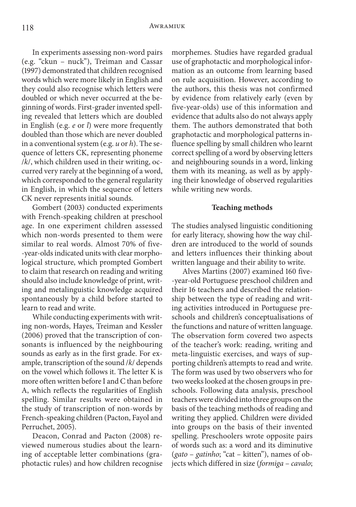In experiments assessing non-word pairs (e.g. "ckun – nuck"), Treiman and Cassar (1997) demonstrated that children recognised words which were more likely in English and they could also recognise which letters were doubled or which never occurred at the beginning of words. First-grader invented spelling revealed that letters which are doubled in English (e.g. *e* or *l*) were more frequently doubled than those which are never doubled in a conventional system (e.g. *u* or *h*). The sequence of letters CK, representing phoneme /*k*/, which children used in their writing, occurred very rarely at the beginning of a word, which corresponded to the general regularity in English, in which the sequence of letters CK never represents initial sounds.

Gombert (2003) conducted experiments with French-speaking children at preschool age. In one experiment children assessed which non-words presented to them were similar to real words. Almost 70% of five- -year-olds indicated units with clear morphological structure, which prompted Gombert to claim that research on reading and writing should also include knowledge of print, writing and metalinguistic knowledge acquired spontaneously by a child before started to learn to read and write.

While conducting experiments with writing non-words, Hayes, Treiman and Kessler (2006) proved that the transcription of consonants is influenced by the neighbouring sounds as early as in the first grade. For example, transcription of the sound /*k*/ depends on the vowel which follows it. The letter K is more often written before I and C than before A, which reflects the regularities of English spelling. Similar results were obtained in the study of transcription of non-words by French-speaking children (Pacton, Fayol and Perruchet, 2005).

Deacon, Conrad and Pacton (2008) reviewed numerous studies about the learning of acceptable letter combinations (graphotactic rules) and how children recognise

morphemes. Studies have regarded gradual use of graphotactic and morphological information as an outcome from learning based on rule acquisition. However, according to the authors, this thesis was not confirmed by evidence from relatively early (even by five-year-olds) use of this information and evidence that adults also do not always apply them. The authors demonstrated that both graphotactic and morphological patterns influence spelling by small children who learnt correct spelling of a word by observing letters and neighbouring sounds in a word, linking them with its meaning, as well as by applying their knowledge of observed regularities while writing new words.

#### **Teaching methods**

The studies analysed linguistic conditioning for early literacy, showing how the way children are introduced to the world of sounds and letters influences their thinking about written language and their ability to write.

Alves Martins (2007) examined 160 five- -year-old Portuguese preschool children and their 16 teachers and described the relationship between the type of reading and writing activities introduced in Portuguese preschools and children's conceptualisations of the functions and nature of written language. The observation form covered two aspects of the teacher's work: reading, writing and meta-linguistic exercises, and ways of supporting children's attempts to read and write. The form was used by two observers who for two weeks looked at the chosen groups in preschools. Following data analysis, preschool teachers were divided into three groups on the basis of the teaching methods of reading and writing they applied. Children were divided into groups on the basis of their invented spelling. Preschoolers wrote opposite pairs of words such as: a word and its diminutive (*gato* – *gatinho*; "cat – kitten"), names of objects which differed in size (*formiga* – *cavalo*;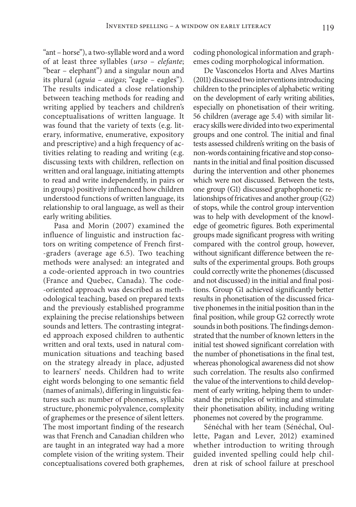"ant – horse"), a two-syllable word and a word of at least three syllables (*urso* – *elefante*; "bear – elephant") and a singular noun and its plural (*aguia* – *auigas*; "eagle – eagles"). The results indicated a close relationship between teaching methods for reading and writing applied by teachers and children's conceptualisations of written language. It was found that the variety of texts (e.g. literary, informative, enumerative, expository and prescriptive) and a high frequency of activities relating to reading and writing (e.g. discussing texts with children, reflection on written and oral language, initiating attempts to read and write independently, in pairs or in groups) positively influenced how children understood functions of written language, its relationship to oral language, as well as their early writing abilities.

Pasa and Morin (2007) examined the influence of linguistic and instruction factors on writing competence of French first- -graders (average age 6.5). Two teaching methods were analysed: an integrated and a code-oriented approach in two countries (France and Quebec, Canada). The code- -oriented approach was described as methodological teaching, based on prepared texts and the previously established programme explaining the precise relationships between sounds and letters. The contrasting integrated approach exposed children to authentic written and oral texts, used in natural communication situations and teaching based on the strategy already in place, adjusted to learners' needs. Children had to write eight words belonging to one semantic field (names of animals), differing in linguistic features such as: number of phonemes, syllabic structure, phonemic polyvalence, complexity of graphemes or the presence of silent letters. The most important finding of the research was that French and Canadian children who are taught in an integrated way had a more complete vision of the writing system. Their conceptualisations covered both graphemes,

coding phonological information and graphemes coding morphological information.

De Vasconcelos Horta and Alves Martins (2011) discussed two interventions introducing children to the principles of alphabetic writing on the development of early writing abilities, especially on phonetisation of their writing. 56 children (average age 5.4) with similar literacy skills were divided into two experimental groups and one control. The initial and final tests assessed children's writing on the basis of non-words containing fricative and stop consonants in the initial and final position discussed during the intervention and other phonemes which were not discussed. Between the tests, one group (G1) discussed graphophonetic relationships of fricatives and another group (G2) of stops, while the control group intervention was to help with development of the knowledge of geometric figures. Both experimental groups made significant progress with writing compared with the control group, however, without significant difference between the results of the experimental groups. Both groups could correctly write the phonemes (discussed and not discussed) in the initial and final positions. Group G1 achieved significantly better results in phonetisation of the discussed fricative phonemes in the initial position than in the final position, while group G2 correctly wrote sounds in both positions. The findings demonstrated that the number of known letters in the initial test showed significant correlation with the number of phonetisations in the final test, whereas phonological awareness did not show such correlation. The results also confirmed the value of the interventions to child development of early writing, helping them to understand the principles of writing and stimulate their phonetisation ability, including writing phonemes not covered by the programme.

Sénéchal with her team (Sénéchal, Oullette, Pagan and Lever, 2012) examined whether introduction to writing through guided invented spelling could help children at risk of school failure at preschool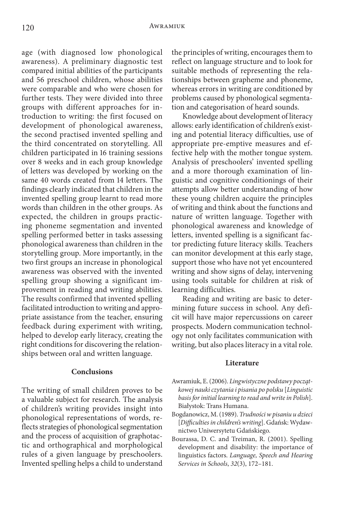age (with diagnosed low phonological awareness). A preliminary diagnostic test compared initial abilities of the participants and 56 preschool children, whose abilities were comparable and who were chosen for further tests. They were divided into three groups with different approaches for introduction to writing: the first focused on development of phonological awareness, the second practised invented spelling and the third concentrated on storytelling. All children participated in 16 training sessions over 8 weeks and in each group knowledge of letters was developed by working on the same 40 words created from 14 letters. The findings clearly indicated that children in the invented spelling group learnt to read more words than children in the other groups. As expected, the children in groups practicing phoneme segmentation and invented spelling performed better in tasks assessing phonological awareness than children in the storytelling group. More importantly, in the two first groups an increase in phonological awareness was observed with the invented spelling group showing a significant improvement in reading and writing abilities. The results confirmed that invented spelling facilitated introduction to writing and appropriate assistance from the teacher, ensuring feedback during experiment with writing, helped to develop early literacy, creating the right conditions for discovering the relationships between oral and written language.

### **Conclusions**

The writing of small children proves to be a valuable subject for research. The analysis of children's writing provides insight into phonological representations of words, reflects strategies of phonological segmentation and the process of acquisition of graphotactic and orthographical and morphological rules of a given language by preschoolers. Invented spelling helps a child to understand

the principles of writing, encourages them to reflect on language structure and to look for suitable methods of representing the relationships between grapheme and phoneme, whereas errors in writing are conditioned by problems caused by phonological segmentation and categorisation of heard sounds.

Knowledge about development of literacy allows: early identification of children's existing and potential literacy difficulties, use of appropriate pre-emptive measures and effective help with the mother tongue system. Analysis of preschoolers' invented spelling and a more thorough examination of linguistic and cognitive conditionings of their attempts allow better understanding of how these young children acquire the principles of writing and think about the functions and nature of written language. Together with phonological awareness and knowledge of letters, invented spelling is a significant factor predicting future literacy skills. Teachers can monitor development at this early stage, support those who have not yet encountered writing and show signs of delay, intervening using tools suitable for children at risk of learning difficulties.

Reading and writing are basic to determining future success in school. Any deficit will have major repercussions on career prospects. Modern communication technology not only facilitates communication with writing, but also places literacy in a vital role.

#### **Literature**

- Awramiuk, E. (2006). *Lingwistyczne podstawy początkowej nauki czytania i pisania po polsku* [*Linguistic basis for initial learning to read and write in Polish*]. Białystok: Trans Humana.
- Bogdanowicz, M. (1989). *Trudności w pisaniu u dzieci*  [*Difficulties in children's writing*]. Gdańsk: Wydawnictwo Uniwersytetu Gdańskiego.
- Bourassa, D. C. and Treiman, R. (2001). Spelling development and disability: the importance of linguistics factors. *Language, Speech and Hearing Services in Schools*, *32*(3), 172–181.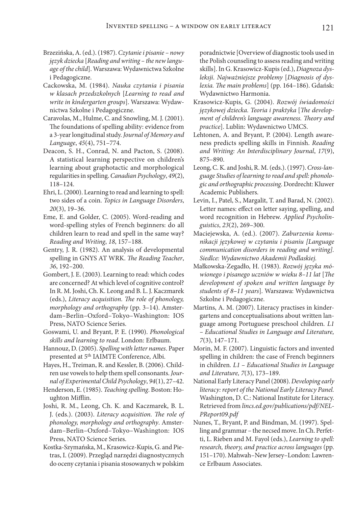- Brzezińska, A. (ed.). (1987). *Czytanie i pisanie nowy język dziecka* [*Reading and writing – the new language of the child*]. Warszawa: Wydawnictwa Szkolne i Pedagogiczne.
- Cackowska, M. (1984). *Nauka czytania i pisania w klasach przedszkolnych* [*Learning to read and write in kindergarten groups*]. Warszawa: Wydawnictwa Szkolne i Pedagogiczne.
- Caravolas, M., Hulme, C. and Snowling, M. J. (2001). The foundations of spelling ability: evidence from a 3-year longitudinal study. *Journal of Memory and Language*, *45*(4), 751–774.
- Deacon, S. H., Conrad, N. and Pacton, S. (2008). A statistical learning perspective on children's learning about graphotactic and morphological regularities in spelling. *Canadian Psychology*, *49*(2), 118–124.
- Ehri, L. (2000). Learning to read and learning to spell: two sides of a coin. *Topics in Language Disorders*, *20*(3), 19–36.
- Eme, E. and Golder, C. (2005). Word-reading and word-spelling styles of French beginners: do all children learn to read and spell in the same way? *Reading and Writing*, *18*, 157–188.
- Gentry, J. R. (1982). An analysis of developmental spelling in GNYS AT WRK. *The Reading Teacher*, *36*, 192–200.
- Gombert, J. E. (2003). Learning to read: which codes are concerned? At which level of cognitive control? In R. M. Joshi, Ch. K. Leong and B. L. J. Kaczmarek (eds.), *Literacy acquisition. The role of phonology, morphology and orthography* (pp. 3–14). Amsterdam–Berlin–Oxford–Tokyo–Washington: IOS Press, NATO Science Series.
- Goswami, U. and Bryant, P. E. (1990). *Phonological skills and learning to read*. London: Erlbaum.
- Hannouz, D. (2005). *Spelling with letter names*. Paper presented at 5<sup>th</sup> IAIMTE Conference, Albi.
- Hayes, H., Treiman, R. and Kessler, B. (2006). Children use vowels to help them spell consonants. *Journal of Experimental Child Psychology*, *94*(1), 27–42.
- Henderson, E. (1985). *Teaching spelling*. Boston: Houghton Mifflin.
- Joshi, R. M., Leong, Ch. K. and Kaczmarek, B. L. J. (eds.). (2003). *Literacy acquisition. The role of phonology, morphology and orthography*. Amsterdam–Berlin–Oxford–Tokyo–Washington: IOS Press, NATO Science Series.
- Kostka-Szymańska, M., Krasowicz-Kupis, G. and Pietras, I. (2009). Przegląd narzędzi diagnostycznych do oceny czytania i pisania stosowanych w polskim

poradnictwie [Overview of diagnostic tools used in the Polish counseling to assess reading and writing skills]. In G. Krasowicz-Kupis (ed.), *Diagnoza dysleksji. Najważniejsze problemy* [*Diagnosis of dyslexia. The main problems*] (pp. 164–186). Gdańsk: Wydawnictwo Harmonia.

- Krasowicz-Kupis, G. (2004). *Rozwój świadomości językowej dziecka. Teoria i praktyka* [*The development of children's language awareness. Theory and practice*]. Lublin: Wydawnictwo UMCS.
- Lehtonen, A. and Bryant, P. (2004). Length awareness predicts spelling skills in Finnish. *Reading and Writing: An Interdisciplinary Journal*, *17*(9), 875–890.
- Leong, C. K. and Joshi, R. M. (eds.). (1997). *Cross-language Studies of learning to read and spell: phonologic and orthographic processing*. Dordrecht: Kluwer Academic Publishers.
- Levin, I., Patel, S., Margalit, T. and Barad, N. (2002). Letter names: effect on letter saying, spelling, and word recognition in Hebrew. *Applied Psycholinguistics*, *23*(2), 269–300.
- Maciejewska, A. (ed.). (2007). *Zaburzenia komunikacji językowej w czytaniu i pisaniu [Language communication disorders in reading and writing]. Siedlce: Wydawnictwo Akademii Podlaskiej.*
- Małkowska-Zegadło, H. (1983). *Rozwój języka mówionego i pisanego uczniów w wieku 8–11 lat* [*The development of spoken and written language by students of 8–11 years*]. Warszawa: Wydawnictwa Szkolne i Pedagogiczne.
- Martins, A. M. (2007). Literacy practises in kindergartens and conceptualisations about written language among Portuguese preschool children*. L1 – Educational Studies in Language and Literature, 7*(3), 147–171.
- Morin, M. F. (2007). Linguistic factors and invented spelling in children: the case of French beginners in children*. L1 – Educational Studies in Language and Literature, 7*(3), 173–189.
- National Early Literacy Panel (2008). *Developing early literacy: report of the National Early Literacy Panel.*  Washington, D. C.: National Institute for Literacy. Retrieved from *lincs.ed.gov/publications/pdf/NEL-PReport09.pdf*
- Nunes, T., Bryant, P. and Bindman, M. (1997). Spelling and grammar – the necsed move. In Ch. Perfetti, L. Rieben and M. Fayol (eds.), *Learning to spell: research, theory, and practice across languages* (pp. 151–170). Mahwah–New Jersey–London: Lawrence Erlbaum Associates.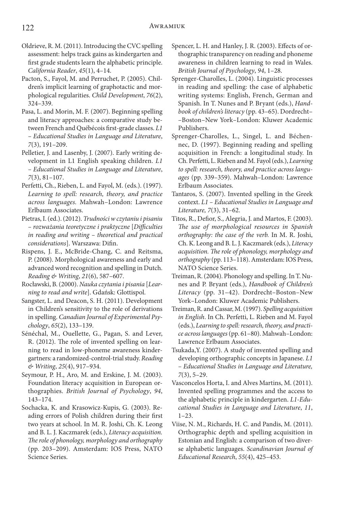- Oldrieve, R. M. (2011). Introducing the CVC spelling assessment: helps track gains as kindergarten and first grade students learn the alphabetic principle. *California Reader*, *45*(1), 4–14.
- Pacton, S., Fayol, M. and Perruchet, P. (2005). Children's implicit learning of graphotactic and morphological regularities. *Child Development*, *76*(2), 324–339.
- Pasa, L. and Morin, M. F. (2007). Beginning spelling and literacy approaches: a comparative study between French and Québécois first-grade classes. *L1 – Educational Studies in Language and Literature*, *7*(3), 191–209.
- Pelletier, J. and Lasenby, J. (2007). Early writing development in L1 English speaking children. *L1 – Educational Studies in Language and Literature*, *7*(3), 81–107.
- Perfetti, Ch., Rieben, L. and Fayol, M. (eds.). (1997). *Learning to spell: research, theory, and practice across languages.* Mahwah–London: Lawrence Erlbaum Associates.
- Pietras, I. (ed.). (2012). *Trudności w czytaniu i pisaniu – rozważania teoretyczne i praktyczne* [*Difficulties in reading and writing – theoretical and practical considerations*]. Warszawa: Difin.
- Rispens, J. E., McBride-Chang, C. and Reitsma, P. (2008). Morphological awareness and early and advanced word recognition and spelling in Dutch. *Reading & Writing*, *21*(6), 587–607.
- Rocławski, B. (2000). *Nauka czytania i pisania* [*Learning to read and write*]. Gdańsk: Glottispol.
- Sangster, L. and Deacon, S. H. (2011). Development in Children's sensitivity to the role of derivations in spelling. *Canadian Journal of Experimental Psychology*, *65*(2), 133–139.
- Sénéchal, M., Ouellette, G., Pagan, S. and Lever, R. (2012). The role of invented spelling on learning to read in low-phoneme awareness kindergartners: a randomized-control-trial study. *Reading & Writing*, *25*(4), 917–934.
- Seymour, P. H., Aro, M. and Erskine, J. M. (2003). Foundation literacy acquisition in European orthographies. *British Journal of Psychology*, *94*, 143–174.
- Sochacka, K. and Krasowicz-Kupis, G. (2003). Reading errors of Polish children during their first two years at school. In M. R. Joshi, Ch. K. Leong and B. L. J. Kaczmarek (eds.), *Literacy acquisition. The role of phonology, morphology and orthography*  (pp. 203–209). Amsterdam: IOS Press, NATO Science Series.
- Spencer, L. H. and Hanley, J. R. (2003). Effects of orthographic transparency on reading and phoneme awareness in children learning to read in Wales. *British Journal of Psychology*, *94*, 1–28.
- Sprenger-Charolles, L. (2004). Linguistic processes in reading and spelling: the case of alphabetic writing systems: English, French, German and Spanish. In T. Nunes and P. Bryant (eds.), *Handbook of children's literacy* (pp. 43–65). Dordrecht– –Boston–New York–London: Kluwer Academic Publishers.
- Sprenger-Charolles, L., Singel, L. and Béchennec, D. (1997). Beginning reading and spelling acquisition in French: a longitudinal study. In Ch. Perfetti, L. Rieben and M. Fayol (eds.), *Learning to spell: research, theory, and practice across languages* (pp. 339–359). Mahwah–London: Lawrence Erlbaum Associates.
- Tantaros, S. (2007). Invented spelling in the Greek context. *L1 – Educational Studies in Language and Literature, 7*(3), 31–62.
- Titos, R., Defior, S., Alegria, J. and Martos, F. (2003). *The use of morphological resources in Spanish orthography: the case of the verb.* In M. R. Joshi, Ch. K. Leong and B. L. J. Kaczmarek (eds.), *Literacy acquisition. The role of phonology, morphology and orthography* (pp. 113–118). Amsterdam: IOS Press, NATO Science Series.
- Treiman, R. (2004). Phonology and spelling. In T. Nunes and P. Bryant (eds.), *Handbook of Children's Literacy* (pp. 31–42). Dordrecht–Boston–New York–London: Kluwer Academic Publishers.
- Treiman, R. and Cassar, M. (1997). *Spelling acquisition in English*. In Ch. Perfetti, L. Rieben and M. Fayol (eds.), *Learning to spell: research, theory, and practice across languages* (pp. 61–80). Mahwah–London: Lawrence Erlbaum Associates.
- Tsukada,Y. (2007). A study of invented spelling and developing orthographic concepts in Japanese. *L1 – Educational Studies in Language and Literature, 7*(3), 5–29.
- Vasconcelos Horta, I. and Alves Martins, M. (2011). Invented spelling programmes and the access to the alphabetic principle in kindergarten. *L1-Educational Studies in Language and Literature*, *11*, 1–23.
- Viise, N. M., Richards, H. C. and Pandis, M. (2011). Orthographic depth and spelling acquisition in Estonian and English: a comparison of two diverse alphabetic languages. *Scandinavian Journal of Educational Research*, *55*(4), 425–453.